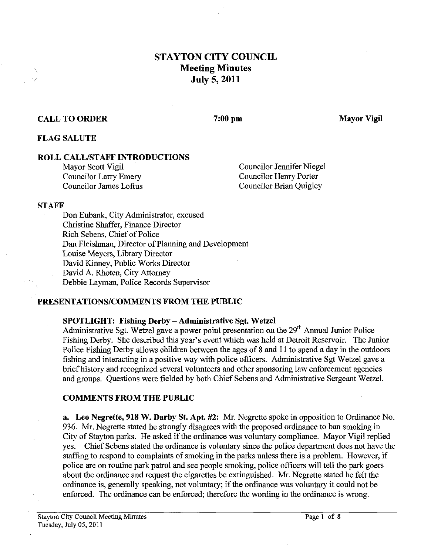# **STAYTON CITY COUNCIL Meeting Minutes July 5,2011**

### **CALL TO ORDER**

#### $7:00$  pm

**Mayor Vigil** 

### **FLAG SALUTE**

## **ROLL CALLISTAFF INTRODUCTIONS**

Mayor Scott Vigil Councilor Larry Emery Councilor James Loftus Councilor Jennifer Niegel Councilor Henry Porter Councilor Brian Quigley

#### **STAFF**

Don Eubank, City Administrator, excused Christine Shaffer, Finance Director Rich Sebens, Chief of Police Dan Fleishman, Director of Planning and Development Louise Meyers, Library Director David Kinney, Public Works Director David A. Rhoten, City Attorney Debbie Layman, Police Records Supervisor

### **PRESENTATIONS/COMMENTS FROM THE PUBLIC**

### **SPOTLIGHT: Fishing Derby** - **Administrative Sgt. Wetzel**

Administrative Sgt. Wetzel gave a power point presentation on the 29" Annual Junior Police Fishing Derby. She described this year's event which was held at Detroit Reservoir. The Junior Police Fishing Derby allows children between the ages of 8 and 11 to spend a day in the outdoors fishing and interacting in a positive way with police officers. Administrative Sgt Wetzel gave a brief history and recognized several volunteers and other sponsoring law enforcement agencies and groups. Questions were fielded by both Chief Sebens and Administrative Sergeant Wetzel.

### **COMMENTS FROM THE PUBLIC**

**a. Leo Negrette, 918 W. Darby St. Apt. #2: Mr.** Negrette spoke in opposition to Ordinance No. 936. Mr. Negrette stated he strongly disagrees with the proposed ordinance to ban smoking in City of Stayton parks. He asked if the ordinance was voluntary compliance. Mayor Vigil replied yes. Chief Sebens stated the ordinance is voluntary since the police department does not have the staffing to respond to complaints of smoking in the parks unless there is a problem. However, if police are on routine park patrol and see people smoking, police officers will tell the park goers about the ordinance and request the cigarettes be extinguished. Mr. Negrette stated he felt the ordinance is, generally speaking, not voluntary; if the ordinance was voluntary it could not be enforced. The ordinance can be enforced; therefore the wording in the ordinance is wrong.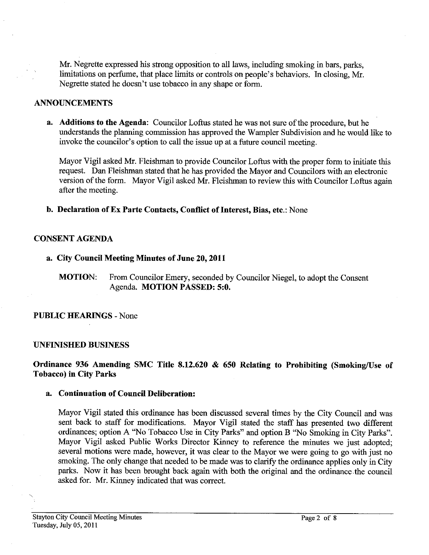Mr. Negrette expressed his strong opposition to all laws, including smoking in bars, parks, limitations on perfume, that place limits or controls on people's behaviors. In closing, Mr. Negrette stated he doesn't use tobacco in any shape or form.

### **ANNOUNCEMENTS**

**a. Additions to the Agenda:** Councilor Loftus stated he was not sure of the procedure, but he understands the planning commission has approved the Warnpler Subdivision and he would like to invoke the councilor's option to call the issue up at a future council meeting.

Mayor Vigil asked Mr. Fleishman to provide Councilor Loftus with the proper form to initiate this request. Dan Fleishman stated that he has provided the Mayor and Councilors with **an** electronic version of the form. Mayor Vigil asked Mr. Fleishman to review this with Councilor Loftus again after the meeting.

**b. Declaration of Ex Parte Contacts, Conflict of Interest, Bias, etc.:** None

### **CONSENT AGENDA**

- **a. City Council Meeting Minutes of June 20,2011** 
	- **MOTION:** From Councilor Emery, seconded by Councilor Niegel, to adopt the Consent Agenda. **MOTION PASSED: 5:O.**

### **PUBLIC HEARINGS** - None

### **UNFINISHED BUSINESS**

### **Ordinance 936 Amending SMC Title 8.12.620** & **650 Relating to Prohibiting (Smoking/Use of Tobacco) in City Parks**

### **a. continuation of Council Deliberation:**

Mayor Vigil stated this ordinance has been discussed several times by the City Council and was sent back to staff for modifications. Mayor Vigil stated the staff has presented two different ordinances; option A "No Tobacco Use in City Parks" and option B "No Smoking in City Parks". Mayor Vigil asked Public Works Director Kinney to reference the minutes we just adopted; several motions were made, however, it was clear to the Mayor we were going to go with just no smoking. The only change that needed to be made was to clarify the ordinance applies only in City parks. Now it has been brought back again with both the original and the ordinance the council asked for. Mr. Kinney indicated that was correct.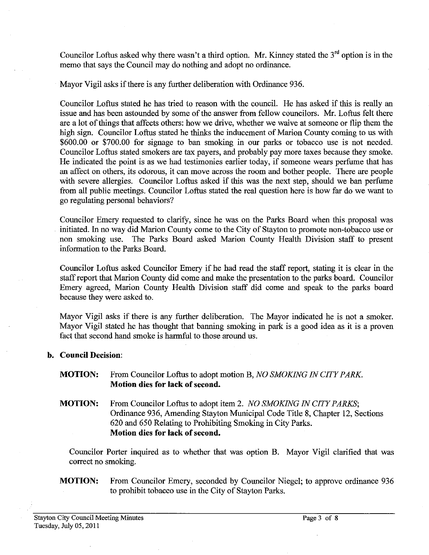Councilor Loftus asked why there wasn't a third option. Mr. Kinney stated the  $3<sup>rd</sup>$  option is in the memo that says the Council may do nothing and adopt no ordinance.

Mayor Vigil asks if there is any further deliberation with Ordinance 936.

Councilor Loftus stated he has tried to reason with the council. He has asked if this is really an issue and has been astounded by some of the answer from fellow councilors. Mr. Loftus felt there are a lot of things that affects others: how we drive, whether we waive at someone or flip them the high sign. Councilor Loftus stated he thinks the inducement of Marion County coming to us with \$600.00 or \$700.00 for signage to ban smoking in our parks or tobacco use is not needed. Councilor Loftus stated smokers are tax payers, and probably pay more taxes because they smoke. He indicated the point is as we had testimonies earlier today, if someone wears perftune that has an affect on others, its odorous, it can move across the room and bother people. There are people with severe allergies. Councilor Loftus asked if this was the next step, should we ban perfume fiom all public meetings. Councilor Loftus stated the real question here is how far do we want to go regulating personal behaviors?

Councilor Emery requested to clarify, since he was on the Parks Board when this proposal was initiated. In no way did Marion County come to the City of Stayton to promote non-tobacco use or non smoking use. The Parks Board asked Marion County Health Division staff to present information to the Parks Board.

Councilor Loftus asked Councilor Emery if he had read the staff report, stating it is clear in the staff report that Marion County did come and make the presentation to the parks board. Councilor Emery agreed, Marion County Health Division staff did come and speak to the parks board because they were asked to.

Mayor Vigil asks if there is any further deliberation. The Mayor indicated he is not a smoker. Mayor Vigil stated he has thought that banning smoking in park is a good idea as it is a proven fact that second hand smoke is harmful to those around us.

### **b. Council Decision:**

- **MOTION:** From Councilor Loftus to adopt motion B, *NO SMOKING IN CITY PARK*  **Motion dies for lack of second.**
- **MOTION:** From Councilor Loftus to adopt item 2. *NO SMOKING IN CITY PARKS*; Ordinance 936, Amending Stayton Municipal Code Title 8, Chapter 12, Sections 620 and 650 Relating to Prohibiting Smoking in City Parks. **Motion dies for lack of second.**

Councilor Porter inquired as to whether that was option B. Mayor Vigil clarified that was correct no smoking.

## **MOTION:** From Councilor Emery, seconded by Councilor Niegel; to approve ordinance 936 to prohibit tobacco use in the City of Stayton Parks.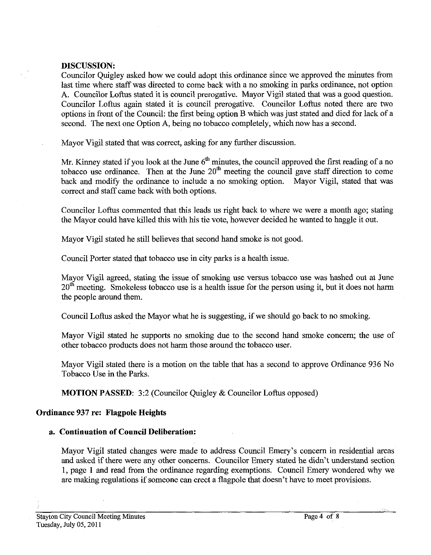### **DISCUSSION:**

Councilor Quigley asked how we could adopt this ordinance since we approved the minutes from last time where staff was directed to come back with a no smoking in parks ordinance, not option **A.** Councilor Loftus stated it is council prerogative. Mayor Vigil stated that was a good question. Councilor Loftus again stated it is council prerogative. Councilor Loftus noted there are two options in front of the Council: the first being option B which was just stated and died for lack of a second. The next one Option A, being no tobacco completely, which now has a second.

Mayor Vigil stated that was correct, asking for any further discussion.

Mr. Kinney stated if you look at the June **6"** minutes, the council approved the first reading of a no tobacco use ordinance. Then at the June 20" meeting the council gave staff direction to come back and modify the ordinance to include a no smoking option. Mayor Vigil, stated that was correct and staff came back with both options.

Councilor Loftus commented that this leads us right back to where we were a month ago; stating the Mayor could have killed this with his tie vote, however decided he wanted to haggle it out.

Mayor Vigil stated he still believes that second hand smoke is not good.

Council Porter stated that tobacco use in city parks is a health issue.

Mayor Vigil agreed, stating the issue of smoking use versus tobacco use was hashed out at June  $20<sup>th</sup>$  meeting. Smokeless tobacco use is a health issue for the person using it, but it does not harm the people around them.

Council Loftus asked the Mayor what he is suggesting, if we should go back to no smoking.

Mayor Vigil stated he supports no smoking due to the second hand smoke concern; the use of other tobacco products does not harm those around the tobacco user.

Mayor Vigil stated there is a motion on the table that has a second to approve Ordimance **936** No Tobacco Use in the Parks.

**MOTION PASSED:** 3:2 (Councilor Quigley & Councilor Loftus opposed)

### **Ordinance 937 re: Flagpole Heights**

#### **a. Continuation of Council Deliberation:**

Mayor Vigil stated changes were made to address Council Emery's concern in residential areas and asked if there were any other concerns. Councilor Emery stated he didn't understand section 1, page 1 and read from the ordinance regarding exemptions. Council Emery wondered why we are making regulations if someone can erect a flagpole that doesn't have to meet provisions.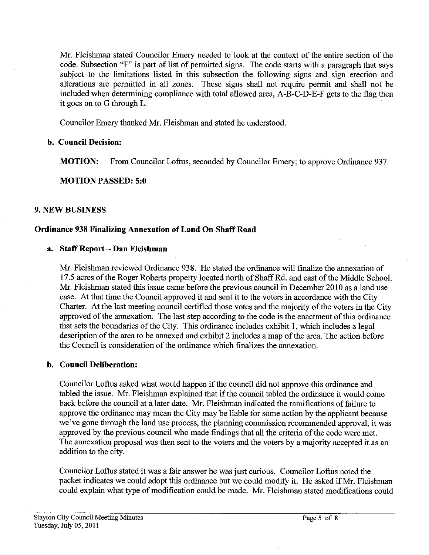Mr. Fleishman stated Councilor Emery needed to look at the context of the entire section of the code. Subsection **"F"** is part of list of permitted signs. The code starts with a paragraph that says subject to the limitations listed in this subsection the following signs and sign erection and alterations are permitted in all zones. These signs shall not require permit and shall not be included when determining compliance with total allowed area, A-B-C-D-E-F gets to the flag then it goes on to G through L.

Councilor Emery thanked Mr. Fleishman and stated he understood.

## **b. Council Decision:**

**MOTION:** From Councilor Loftus, seconded by Councilor Emery; to approve Ordinance 937.

**MOTION PASSED: 5:O** 

## **9. NEW BUSINESS**

## **Ordinance 938 Finalizing Annexation of Land On Shaff Road**

## **a. Staff Report** - **Dan Fleishman**

Mr. Fleishman reviewed Ordinance 938. He stated the ordinance will finalize the annexation of 17.5 acres of the Roger Roberts property located north of Shaff Rd. and east of the Middle School. Mr. Fleishman stated this issue came before the previous council in December 2010 as a land use case. At that time the Council approved it and sent it to the voters in accordance with the City Charter. At the last meeting council certified those votes and the majority of the voters in the City approved of the annexation. The last step according to the code is the enactment of this ordinance that sets the boundaries of the City. This ordinance includes exhibit 1, which includes a legal description of the area to be annexed and exhibit 2 includes a map of the area. The action before the Council is consideration of the ordinance which finalizes the annexation.

## **b. Council Deliberation:**

Councilor Loftus asked what would happen if the council did not approve this ordinance and tabled the issue. Mr. Fleishman explained that if the council tabled the ordinance it would come back before the council at a later date. Mr. Fleishman indicated the ramifications of failure to approve the ordinance may mean the City may be liable for some action by the applicant because we've gone through the land use process, the planning commission recommended approval, it was approved by the previous council who made findings that all the criteria of the code were met. The annexation proposal was then sent to the voters and the voters by a majority accepted it as an addition to the city.

Councilor Loftus stated it was a fair answer he was just curious. Councilor Loftus noted the packet indicates we could adopt this ordinance but we could modify it. He asked if Mr. Fleishman could explain what type of modification could be made. Mr. Fleishman stated modifications could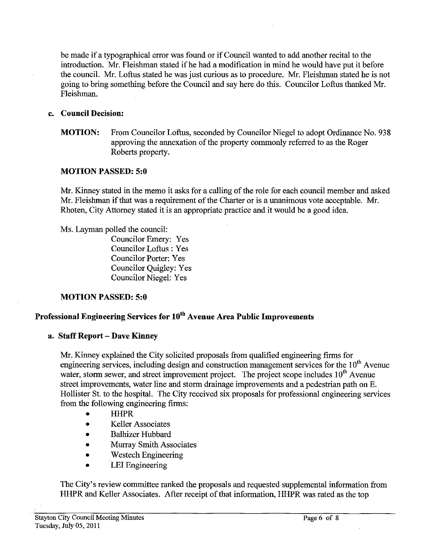be made if a typographical error was found or if Council wanted to add another recital to the introduction. Mr. Fleishman stated if he had a modification in mind he would have put it before the council. Mr. Loftus stated he was just curious as to procedure. Mr. Fleishman stated he is not going to bring something before the Council and say here do this. Councilor Loftus thanked Mr. Fleishman.

#### **c. Council Decision:**

## **MOTION:** From Councilor Loftus, seconded by Councilor Niegel to adopt Ordinance No. 938 approving the annexation of the property commonly referred to as the Roger Roberts property.

#### **MOTION PASSED: 5:O**

Mr. Kinney stated in the memo it asks for a calling of the role for each council member and asked Mr. Fleishman if that was a requirement of the Charter or is a unanimous vote acceptable. Mr. Rhoten, City Attorney stated it is an appropriate practice and it would be a good idea.

Ms. Layman polled the council:

Councilor Emery: Yes Councilor Loftus : Yes Councilor Porter: Yes Councilor Quigley: Yes Councilor Niegel: Yes

## **MOTION PASSED: 5:O**

# **Professional Engineering Services for loth Avenue Area Public Improvements**

### **a. Staff Report** - **Dave Kinney**

Mr. Kinney explained the City solicited proposals from qualified engineering firms for engineering services, including design and construction management services for the  $10<sup>th</sup>$  Avenue water, storm sewer, and street improvement project. The project scope includes  $10<sup>th</sup>$  Avenue street improvements, water line and storm drainage improvements and a pedestrian path on E. Hollister St. to the hospital. The City received six proposals for professional engineering services from the following engineering firms:

- HHPR
- Keller Associates
- Balhizer Hubbard
- Murray Smith Associates
- Westech Engineering  $\bullet$
- LEI Engineering

The City's review committee ranked the proposals and requested supplemental information from HHPR and Keller Associates. After receipt of that information, HHPR was rated as the top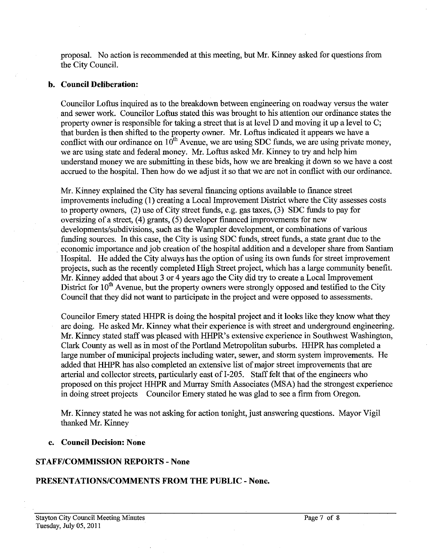proposal. No action is recommended at this meeting, but Mr. Kinney asked for questions from the City Council.

#### **b. Council Deliberation:**

Councilor Loftus inquired as to the breakdown between engineering on roadway versus the water and sewer work. Councilor Loftus stated this was brought to his attention our ordinance states the property owner is responsible for taking a street that is at level D and moving it up a level to C; that burden is then shifted to the property owner. Mr. Loftus indicated it appears we have a conflict with our ordinance on  $10^{th}$  Avenue, we are using SDC funds, we are using private money, we are using state and federal money. Mr. Loftus asked Mr. Kinney to try and help him understand money we are submitting in these bids, how we are breaking it down so we have a cost accrued to the hospital. Then how do we adjust it so that we are not in conflict with our ordinance.

Mr. Kinney explained the City has several financing options available to finance street improvements including (1) creating a Local Improvement District where the City assesses costs to property owners, (2) use of City street funds, e.g. gas taxes, (3) SDC funds to pay for oversizing of a street, (4) grants, (5) developer financed improvements for new developments/subdivisions. such as the Wampler development, or combinations of various funding sources. In this case, the City is using SDC funds, street funds, a state grant due to the economic importance and job creation of the hospital addition and a developer share from Santiam Hospital. He added the City always has the option of using its own funds for street improvement projects, such as the recently completed High Street project, which has a large community benefit. Mr. Kinney added that about **3** or 4 years ago the City did try to create a Local Improvement District for 10<sup>th</sup> Avenue, but the property owners were strongly opposed and testified to the City Council that they did not want to participate in the project and were opposed to assessments.

Councilor Emery stated HHPR is doing the hospital project and it looks like they know what they are doing. He asked Mr. Kinney what their experience is with street and underground engineering. Mr. Kinney stated staff was pleased with HHPR's extensive experience in Southwest Washington, Clark County as well as in most of the Portland Metropolitan suburbs. HHPR has completed a large number of municipal projects including water, sewer, and storm system improvements. He added that HHPR has also completed an extensive list of major street improvements that are arterial and collector streets, particularly east of 1-205. Staff felt that of the engineers who proposed on this project HHPR and Murray Smith Associates (MSA) had the strongest experience in doing street projects Councilor Emery stated he was glad to see a firm from Oregon.

Mr. Kinney stated he was not asking for action tonight, just answering questions. Mayor Vigil thanked Mr. Kinney

#### **c. Council Decision: None**

### **STAFFICOMMISSION REPORTS** - **None**

### **PRESENTATIONSICOMMENTS FROM THE PUBLIC** - **None.**